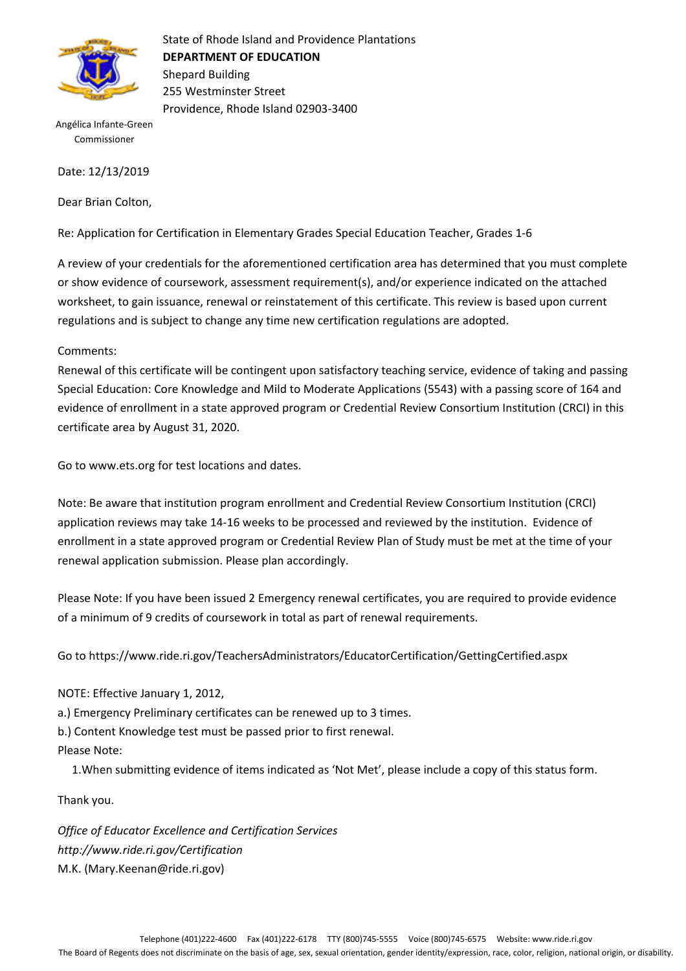

State of Rhode Island and Providence Plantations **DEPARTMENT OF EDUCATION** Shepard Building 255 Westminster Street Providence, Rhode Island 02903-3400

Angélica Infante-Green Commissioner

Date: 12/13/2019

Dear Brian Colton,

Re: Application for Certification in Elementary Grades Special Education Teacher, Grades 1-6

A review of your credentials for the aforementioned certification area has determined that you must complete or show evidence of coursework, assessment requirement(s), and/or experience indicated on the attached worksheet, to gain issuance, renewal or reinstatement of this certificate. This review is based upon current regulations and is subject to change any time new certification regulations are adopted.

Comments:

Renewal of this certificate will be contingent upon satisfactory teaching service, evidence of taking and passing Special Education: Core Knowledge and Mild to Moderate Applications (5543) with a passing score of 164 and evidence of enrollment in a state approved program or Credential Review Consortium Institution (CRCI) in this certificate area by August 31, 2020.

Go to www.ets.org for test locations and dates.

Note: Be aware that institution program enrollment and Credential Review Consortium Institution (CRCI) application reviews may take 14-16 weeks to be processed and reviewed by the institution. Evidence of enrollment in a state approved program or Credential Review Plan of Study must be met at the time of your renewal application submission. Please plan accordingly.

Please Note: If you have been issued 2 Emergency renewal certificates, you are required to provide evidence of a minimum of 9 credits of coursework in total as part of renewal requirements.

Go to https://www.ride.ri.gov/TeachersAdministrators/EducatorCertification/GettingCertified.aspx

NOTE: Effective January 1, 2012,

a.) Emergency Preliminary certificates can be renewed up to 3 times.

b.) Content Knowledge test must be passed prior to first renewal.

Please Note:

1.When submitting evidence of items indicated as 'Not Met', please include a copy of this status form.

Thank you.

*Office of Educator Excellence and Certification Services http://www.ride.ri.gov/Certification* M.K. (Mary.Keenan@ride.ri.gov)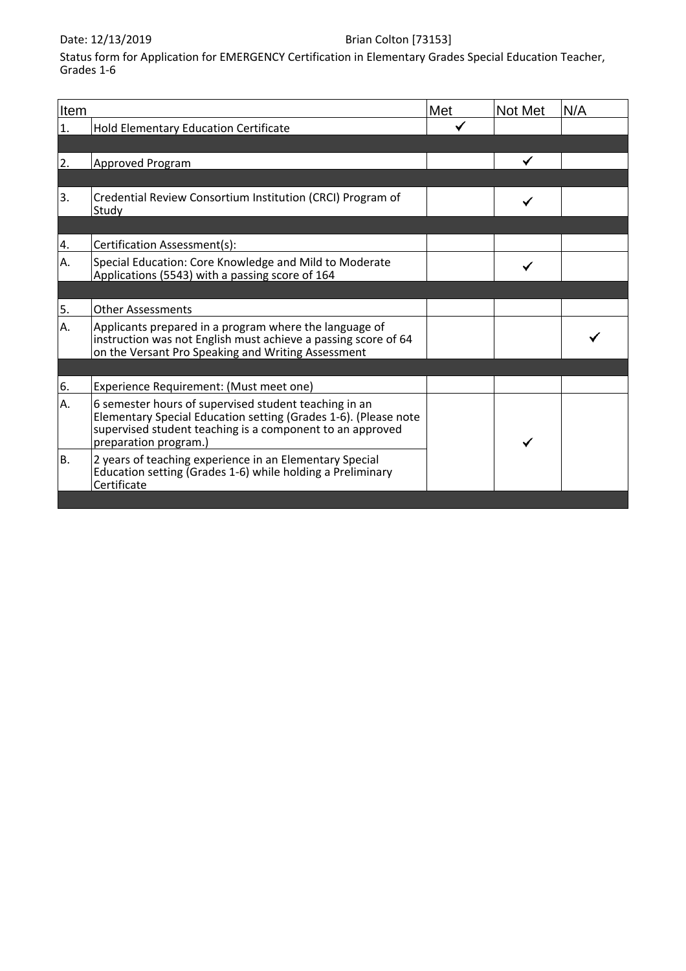#### Date: 12/13/2019 **Brian Colton** [73153]

Status form for Application for EMERGENCY Certification in Elementary Grades Special Education Teacher, Grades 1-6

| Item |                                                                                                                                                                                                                | Met | Not Met | N/A |
|------|----------------------------------------------------------------------------------------------------------------------------------------------------------------------------------------------------------------|-----|---------|-----|
| 1.   | Hold Elementary Education Certificate                                                                                                                                                                          |     |         |     |
|      |                                                                                                                                                                                                                |     |         |     |
| 2.   | Approved Program                                                                                                                                                                                               |     |         |     |
|      |                                                                                                                                                                                                                |     |         |     |
| 3.   | Credential Review Consortium Institution (CRCI) Program of<br>Study                                                                                                                                            |     |         |     |
|      |                                                                                                                                                                                                                |     |         |     |
| 4.   | Certification Assessment(s):                                                                                                                                                                                   |     |         |     |
| А.   | Special Education: Core Knowledge and Mild to Moderate<br>Applications (5543) with a passing score of 164                                                                                                      |     |         |     |
|      |                                                                                                                                                                                                                |     |         |     |
| 5.   | <b>Other Assessments</b>                                                                                                                                                                                       |     |         |     |
| А.   | Applicants prepared in a program where the language of<br>instruction was not English must achieve a passing score of 64<br>on the Versant Pro Speaking and Writing Assessment                                 |     |         |     |
|      |                                                                                                                                                                                                                |     |         |     |
| 6.   | Experience Requirement: (Must meet one)                                                                                                                                                                        |     |         |     |
| Α.   | 6 semester hours of supervised student teaching in an<br>Elementary Special Education setting (Grades 1-6). (Please note<br>supervised student teaching is a component to an approved<br>preparation program.) |     |         |     |
| В.   | 2 years of teaching experience in an Elementary Special<br>Education setting (Grades 1-6) while holding a Preliminary<br>Certificate                                                                           |     |         |     |
|      |                                                                                                                                                                                                                |     |         |     |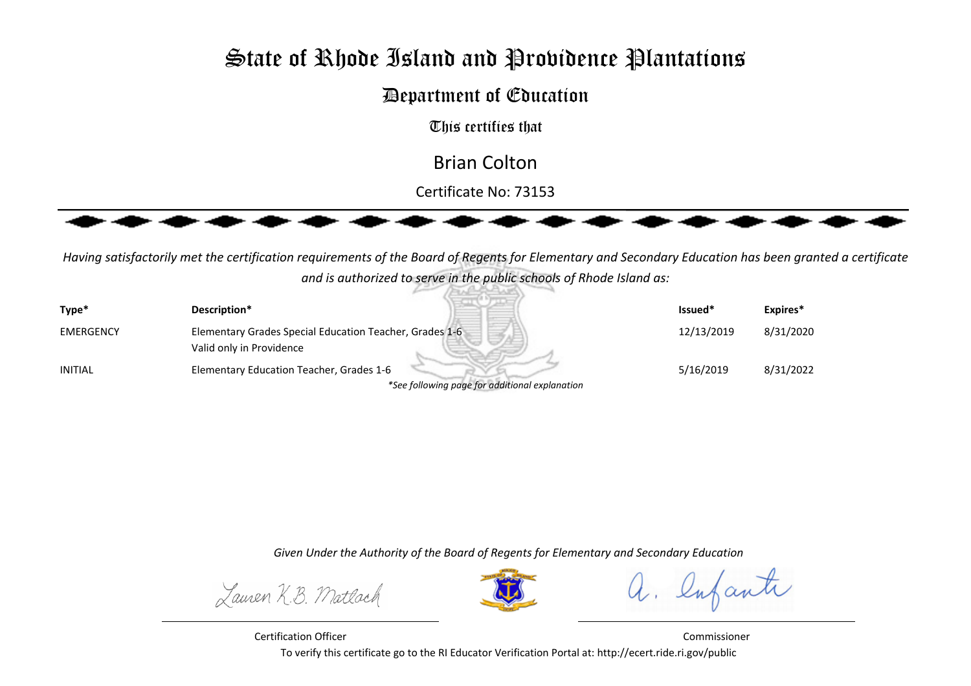# **State of Rhode Island and Providence Plantations**

## Department of Education

This certifies that

Brian Colton

Certificate No: 73153



*Having satisfactorily met the certification requirements of the Board of Regents for Elementary and Secondary Education has been granted a certificateand is authorized to serve in the public schools of Rhode Island as:*Bulletin

| Type*            | Description*                                            | Issued*    | Expires*  |
|------------------|---------------------------------------------------------|------------|-----------|
| <b>EMERGENCY</b> | Elementary Grades Special Education Teacher, Grades 1-6 | 12/13/2019 | 8/31/2020 |
|                  | Valid only in Providence                                |            |           |
| <b>INITIAL</b>   | Elementary Education Teacher, Grades 1-6                | 5/16/2019  | 8/31/2022 |
|                  | *See following page for additional explanation          |            |           |

*Given Under the Authority of the Board of Regents for Elementary and Secondary Education*

Lauren K.B. Matlach



a. lufante

Certification Officer Commissioner To verify this certificate go to the RI Educator Verification Portal at: http://ecert.ride.ri.gov/public